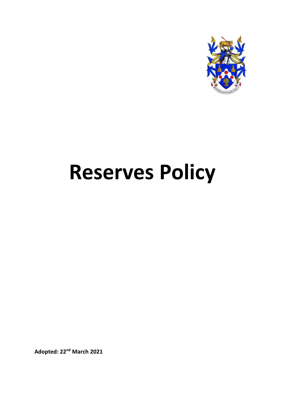

# **Reserves Policy**

**Adopted: 22nd March 2021**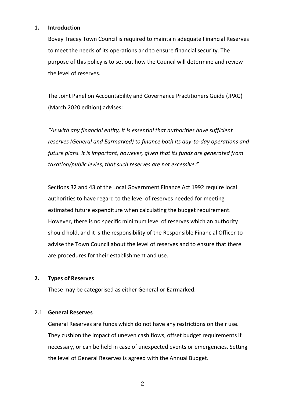## **1. Introduction**

Bovey Tracey Town Council is required to maintain adequate Financial Reserves to meet the needs of its operations and to ensure financial security. The purpose of this policy is to set out how the Council will determine and review the level of reserves.

The Joint Panel on Accountability and Governance Practitioners Guide (JPAG) (March 2020 edition) advises:

*"As with any financial entity, it is essential that authorities have sufficient reserves (General and Earmarked) to finance both its day-to-day operations and future plans. It is important, however, given that its funds are generated from taxation/public levies, that such reserves are not excessive."* 

Sections 32 and 43 of the Local Government Finance Act 1992 require local authorities to have regard to the level of reserves needed for meeting estimated future expenditure when calculating the budget requirement. However, there is no specific minimum level of reserves which an authority should hold, and it is the responsibility of the Responsible Financial Officer to advise the Town Council about the level of reserves and to ensure that there are procedures for their establishment and use.

## **2. Types of Reserves**

These may be categorised as either General or Earmarked.

## 2.1 **General Reserves**

General Reserves are funds which do not have any restrictions on their use. They cushion the impact of uneven cash flows, offset budget requirements if necessary, or can be held in case of unexpected events or emergencies. Setting the level of General Reserves is agreed with the Annual Budget.

2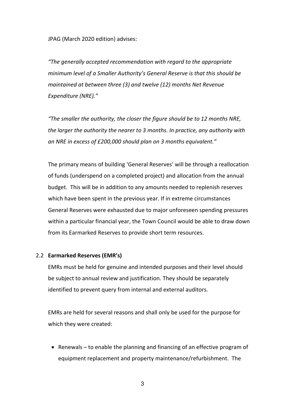JPAG (March 2020 edition) advises:

*"The generally accepted recommendation with regard to the appropriate minimum level of a Smaller Authority's General Reserve is that this should be maintained at between three (3) and twelve (12) months Net Revenue Expenditure (NRE)."* 

*"The smaller the authority, the closer the figure should be to 12 months NRE, the larger the authority the nearer to 3 months. In practice, any authority with an NRE in excess of £200,000 should plan on 3 months equivalent."* 

The primary means of building 'General Reserves' will be through a reallocation of funds (underspend on a completed project) and allocation from the annual budget. This will be in addition to any amounts needed to replenish reserves which have been spent in the previous year. If in extreme circumstances General Reserves were exhausted due to major unforeseen spending pressures within a particular financial year, the Town Council would be able to draw down from its Earmarked Reserves to provide short term resources.

#### 2.2 **Earmarked Reserves (EMR's)**

EMRs must be held for genuine and intended purposes and their level should be subject to annual review and justification. They should be separately identified to prevent query from internal and external auditors.

EMRs are held for several reasons and shall only be used for the purpose for which they were created:

• Renewals – to enable the planning and financing of an effective program of equipment replacement and property maintenance/refurbishment. The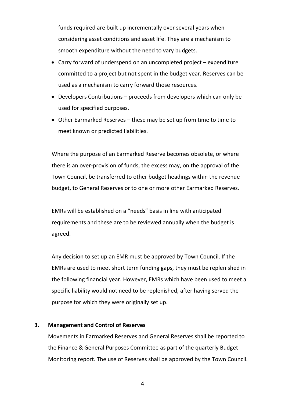funds required are built up incrementally over several years when considering asset conditions and asset life. They are a mechanism to smooth expenditure without the need to vary budgets.

- Carry forward of underspend on an uncompleted project expenditure committed to a project but not spent in the budget year. Reserves can be used as a mechanism to carry forward those resources.
- Developers Contributions proceeds from developers which can only be used for specified purposes.
- Other Earmarked Reserves these may be set up from time to time to meet known or predicted liabilities.

Where the purpose of an Earmarked Reserve becomes obsolete, or where there is an over-provision of funds, the excess may, on the approval of the Town Council, be transferred to other budget headings within the revenue budget, to General Reserves or to one or more other Earmarked Reserves.

EMRs will be established on a "needs" basis in line with anticipated requirements and these are to be reviewed annually when the budget is agreed.

Any decision to set up an EMR must be approved by Town Council. If the EMRs are used to meet short term funding gaps, they must be replenished in the following financial year. However, EMRs which have been used to meet a specific liability would not need to be replenished, after having served the purpose for which they were originally set up.

## **3. Management and Control of Reserves**

Movements in Earmarked Reserves and General Reserves shall be reported to the Finance & General Purposes Committee as part of the quarterly Budget Monitoring report. The use of Reserves shall be approved by the Town Council.

4